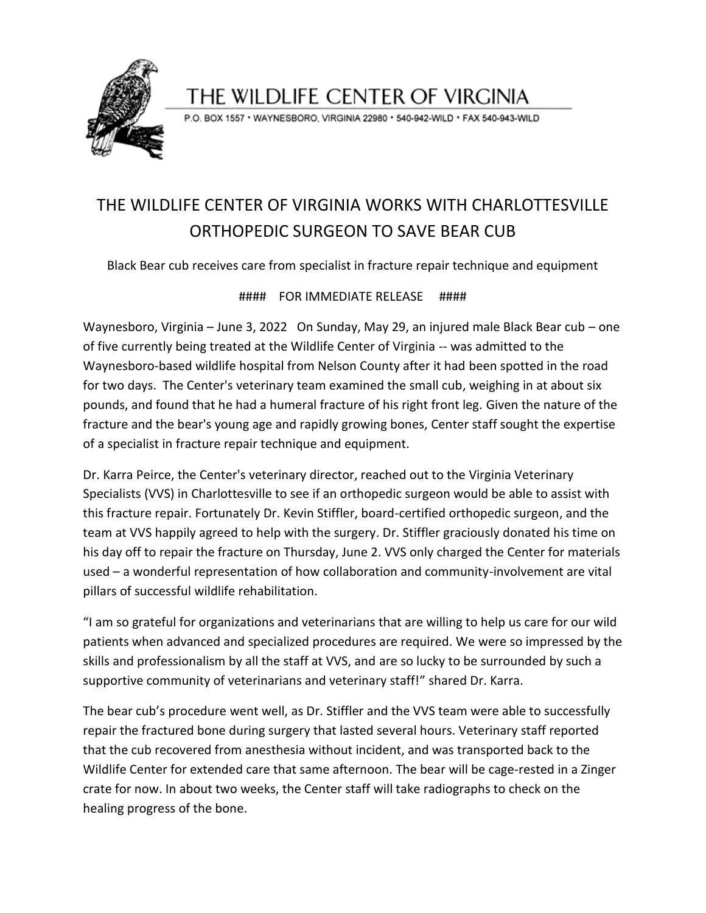

### THE WILDLIFE CENTER OF VIRGINIA

P.O. BOX 1557 · WAYNESBORO, VIRGINIA 22980 · 540-942-WILD · FAX 540-943-WILD

## THE WILDLIFE CENTER OF VIRGINIA WORKS WITH CHARLOTTESVILLE ORTHOPEDIC SURGEON TO SAVE BEAR CUB

Black Bear cub receives care from specialist in fracture repair technique and equipment

#### #### FOR IMMEDIATE RELEASE ####

Waynesboro, Virginia – June 3, 2022 On Sunday, May 29, an injured male Black Bear cub – one of five currently being treated at the Wildlife Center of Virginia -- was admitted to the Waynesboro-based wildlife hospital from Nelson County after it had been spotted in the road for two days. The Center's veterinary team examined the small cub, weighing in at about six pounds, and found that he had a humeral fracture of his right front leg. Given the nature of the fracture and the bear's young age and rapidly growing bones, Center staff sought the expertise of a specialist in fracture repair technique and equipment.

Dr. Karra Peirce, the Center's veterinary director, reached out to the Virginia Veterinary Specialists (VVS) in Charlottesville to see if an orthopedic surgeon would be able to assist with this fracture repair. Fortunately Dr. Kevin Stiffler, board-certified orthopedic surgeon, and the team at VVS happily agreed to help with the surgery. Dr. Stiffler graciously donated his time on his day off to repair the fracture on Thursday, June 2. VVS only charged the Center for materials used – a wonderful representation of how collaboration and community-involvement are vital pillars of successful wildlife rehabilitation.

"I am so grateful for organizations and veterinarians that are willing to help us care for our wild patients when advanced and specialized procedures are required. We were so impressed by the skills and professionalism by all the staff at VVS, and are so lucky to be surrounded by such a supportive community of veterinarians and veterinary staff!" shared Dr. Karra.

The bear cub's procedure went well, as Dr. Stiffler and the VVS team were able to successfully repair the fractured bone during surgery that lasted several hours. Veterinary staff reported that the cub recovered from anesthesia without incident, and was transported back to the Wildlife Center for extended care that same afternoon. The bear will be cage-rested in a Zinger crate for now. In about two weeks, the Center staff will take radiographs to check on the healing progress of the bone.